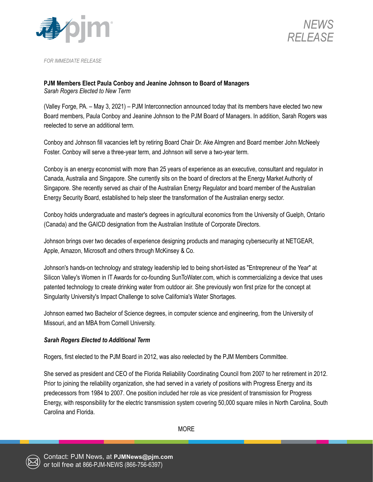



*FOR IMMEDIATE RELEASE*

## **PJM Members Elect Paula Conboy and Jeanine Johnson to Board of Managers**

*Sarah Rogers Elected to New Term*

(Valley Forge, PA. – May 3, 2021) – PJM Interconnection announced today that its members have elected two new Board members, Paula Conboy and Jeanine Johnson to the PJM Board of Managers. In addition, Sarah Rogers was reelected to serve an additional term.

Conboy and Johnson fill vacancies left by retiring Board Chair Dr. Ake Almgren and Board member John McNeely Foster. Conboy will serve a three-year term, and Johnson will serve a two-year term.

Conboy is an energy economist with more than 25 years of experience as an executive, consultant and regulator in Canada, Australia and Singapore. She currently sits on the board of directors at the Energy Market Authority of Singapore. She recently served as chair of the Australian Energy Regulator and board member of the Australian Energy Security Board, established to help steer the transformation of the Australian energy sector.

Conboy holds undergraduate and master's degrees in agricultural economics from the University of Guelph, Ontario (Canada) and the GAICD designation from the Australian Institute of Corporate Directors.

Johnson brings over two decades of experience designing products and managing cybersecurity at NETGEAR, Apple, Amazon, Microsoft and others through McKinsey & Co.

Johnson's hands-on technology and strategy leadership led to being short-listed as "Entrepreneur of the Year" at Silicon Valley's Women in IT Awards for co-founding SunToWater.com, which is commercializing a device that uses patented technology to create drinking water from outdoor air. She previously won first prize for the concept at Singularity University's Impact Challenge to solve California's Water Shortages.

Johnson earned two Bachelor of Science degrees, in computer science and engineering, from the University of Missouri, and an MBA from Cornell University.

## *Sarah Rogers Elected to Additional Term*

Rogers, first elected to the PJM Board in 2012, was also reelected by the PJM Members Committee.

She served as president and CEO of the Florida Reliability Coordinating Council from 2007 to her retirement in 2012. Prior to joining the reliability organization, she had served in a variety of positions with Progress Energy and its predecessors from 1984 to 2007. One position included her role as vice president of transmission for Progress Energy, with responsibility for the electric transmission system covering 50,000 square miles in North Carolina, South Carolina and Florida.

MORE